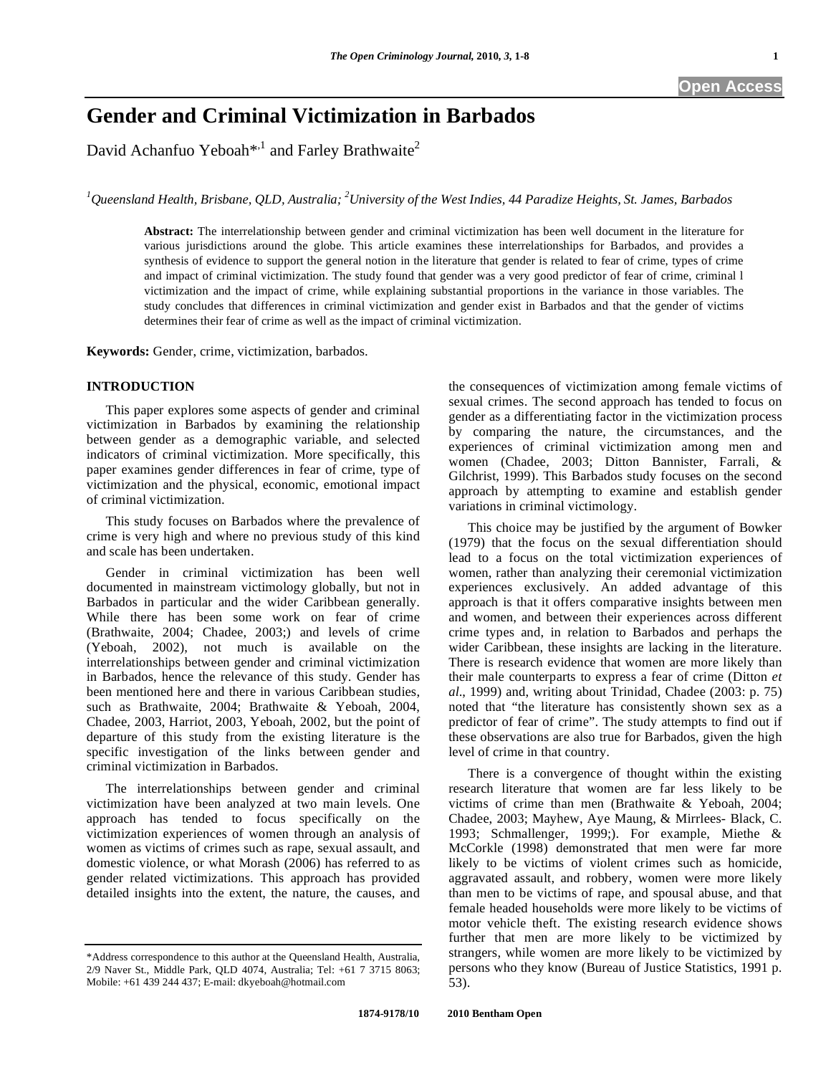# **Gender and Criminal Victimization in Barbados**

David Achanfuo Yeboah<sup>\*,1</sup> and Farley Brathwaite<sup>2</sup>

<sup>1</sup> Queensland Health, Brisbane, QLD, Australia; <sup>2</sup>University of the West Indies, 44 Paradize Heights, St. James, Barbados

**Abstract:** The interrelationship between gender and criminal victimization has been well document in the literature for various jurisdictions around the globe. This article examines these interrelationships for Barbados, and provides a synthesis of evidence to support the general notion in the literature that gender is related to fear of crime, types of crime and impact of criminal victimization. The study found that gender was a very good predictor of fear of crime, criminal l victimization and the impact of crime, while explaining substantial proportions in the variance in those variables. The study concludes that differences in criminal victimization and gender exist in Barbados and that the gender of victims determines their fear of crime as well as the impact of criminal victimization.

**Keywords:** Gender, crime, victimization, barbados.

### **INTRODUCTION**

 This paper explores some aspects of gender and criminal victimization in Barbados by examining the relationship between gender as a demographic variable, and selected indicators of criminal victimization. More specifically, this paper examines gender differences in fear of crime, type of victimization and the physical, economic, emotional impact of criminal victimization.

 This study focuses on Barbados where the prevalence of crime is very high and where no previous study of this kind and scale has been undertaken.

 Gender in criminal victimization has been well documented in mainstream victimology globally, but not in Barbados in particular and the wider Caribbean generally. While there has been some work on fear of crime (Brathwaite, 2004; Chadee, 2003;) and levels of crime (Yeboah, 2002), not much is available on the interrelationships between gender and criminal victimization in Barbados, hence the relevance of this study. Gender has been mentioned here and there in various Caribbean studies, such as Brathwaite, 2004; Brathwaite & Yeboah, 2004, Chadee, 2003, Harriot, 2003, Yeboah, 2002, but the point of departure of this study from the existing literature is the specific investigation of the links between gender and criminal victimization in Barbados.

 The interrelationships between gender and criminal victimization have been analyzed at two main levels. One approach has tended to focus specifically on the victimization experiences of women through an analysis of women as victims of crimes such as rape, sexual assault, and domestic violence, or what Morash (2006) has referred to as gender related victimizations. This approach has provided detailed insights into the extent, the nature, the causes, and

the consequences of victimization among female victims of sexual crimes. The second approach has tended to focus on gender as a differentiating factor in the victimization process by comparing the nature, the circumstances, and the experiences of criminal victimization among men and women (Chadee, 2003; Ditton Bannister, Farrali, & Gilchrist, 1999). This Barbados study focuses on the second approach by attempting to examine and establish gender variations in criminal victimology.

 This choice may be justified by the argument of Bowker (1979) that the focus on the sexual differentiation should lead to a focus on the total victimization experiences of women, rather than analyzing their ceremonial victimization experiences exclusively. An added advantage of this approach is that it offers comparative insights between men and women, and between their experiences across different crime types and, in relation to Barbados and perhaps the wider Caribbean, these insights are lacking in the literature. There is research evidence that women are more likely than their male counterparts to express a fear of crime (Ditton *et al*., 1999) and, writing about Trinidad, Chadee (2003: p. 75) noted that "the literature has consistently shown sex as a predictor of fear of crime". The study attempts to find out if these observations are also true for Barbados, given the high level of crime in that country.

 There is a convergence of thought within the existing research literature that women are far less likely to be victims of crime than men (Brathwaite & Yeboah, 2004; Chadee, 2003; Mayhew, Aye Maung, & Mirrlees- Black, C. 1993; Schmallenger, 1999;). For example, Miethe & McCorkle (1998) demonstrated that men were far more likely to be victims of violent crimes such as homicide, aggravated assault, and robbery, women were more likely than men to be victims of rape, and spousal abuse, and that female headed households were more likely to be victims of motor vehicle theft. The existing research evidence shows further that men are more likely to be victimized by strangers, while women are more likely to be victimized by persons who they know (Bureau of Justice Statistics, 1991 p. 53).

<sup>\*</sup>Address correspondence to this author at the Queensland Health, Australia, 2/9 Naver St., Middle Park, QLD 4074, Australia; Tel: +61 7 3715 8063; Mobile: +61 439 244 437; E-mail: dkyeboah@hotmail.com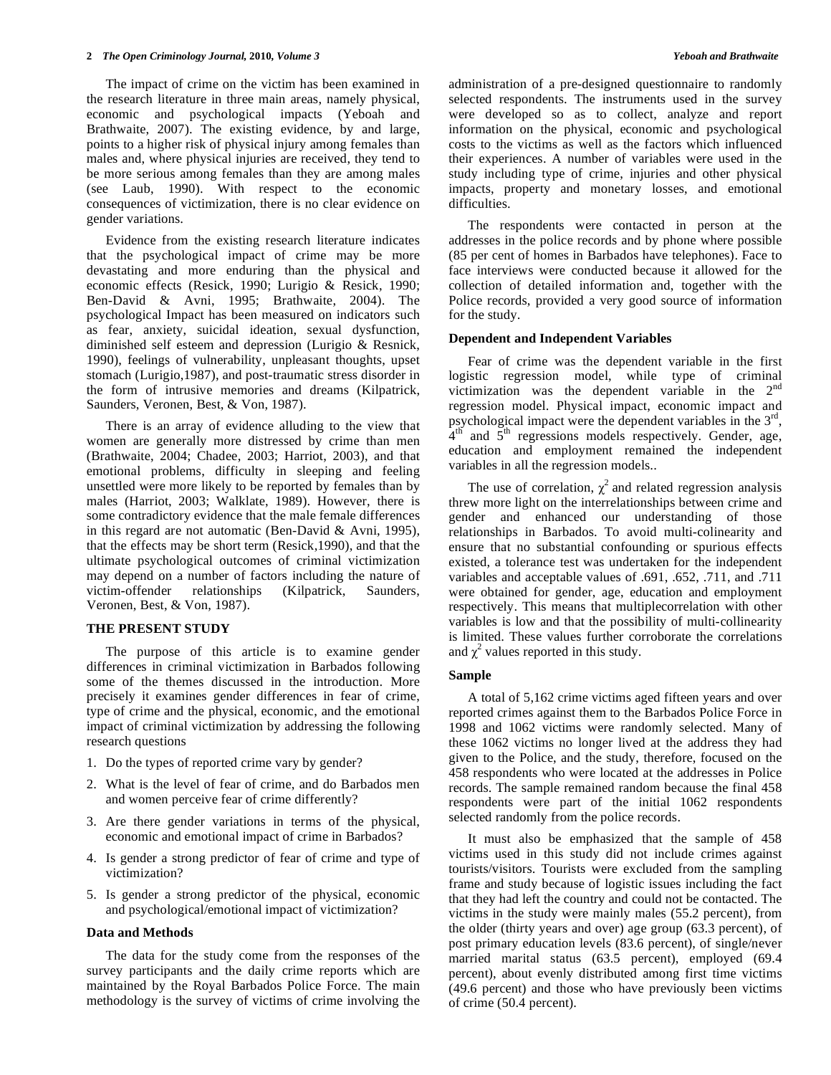The impact of crime on the victim has been examined in the research literature in three main areas, namely physical, economic and psychological impacts (Yeboah and Brathwaite, 2007). The existing evidence, by and large, points to a higher risk of physical injury among females than males and, where physical injuries are received, they tend to be more serious among females than they are among males (see Laub, 1990). With respect to the economic consequences of victimization, there is no clear evidence on gender variations.

 Evidence from the existing research literature indicates that the psychological impact of crime may be more devastating and more enduring than the physical and economic effects (Resick, 1990; Lurigio & Resick, 1990; Ben-David & Avni, 1995; Brathwaite, 2004). The psychological Impact has been measured on indicators such as fear, anxiety, suicidal ideation, sexual dysfunction, diminished self esteem and depression (Lurigio & Resnick, 1990), feelings of vulnerability, unpleasant thoughts, upset stomach (Lurigio,1987), and post-traumatic stress disorder in the form of intrusive memories and dreams (Kilpatrick, Saunders, Veronen, Best, & Von, 1987).

 There is an array of evidence alluding to the view that women are generally more distressed by crime than men (Brathwaite, 2004; Chadee, 2003; Harriot, 2003), and that emotional problems, difficulty in sleeping and feeling unsettled were more likely to be reported by females than by males (Harriot, 2003; Walklate, 1989). However, there is some contradictory evidence that the male female differences in this regard are not automatic (Ben-David & Avni, 1995), that the effects may be short term (Resick,1990), and that the ultimate psychological outcomes of criminal victimization may depend on a number of factors including the nature of victim-offender relationships (Kilpatrick, Saunders, Veronen, Best, & Von, 1987).

# **THE PRESENT STUDY**

 The purpose of this article is to examine gender differences in criminal victimization in Barbados following some of the themes discussed in the introduction. More precisely it examines gender differences in fear of crime, type of crime and the physical, economic, and the emotional impact of criminal victimization by addressing the following research questions

- 1. Do the types of reported crime vary by gender?
- 2. What is the level of fear of crime, and do Barbados men and women perceive fear of crime differently?
- 3. Are there gender variations in terms of the physical, economic and emotional impact of crime in Barbados?
- 4. Is gender a strong predictor of fear of crime and type of victimization?
- 5. Is gender a strong predictor of the physical, economic and psychological/emotional impact of victimization?

### **Data and Methods**

 The data for the study come from the responses of the survey participants and the daily crime reports which are maintained by the Royal Barbados Police Force. The main methodology is the survey of victims of crime involving the administration of a pre-designed questionnaire to randomly selected respondents. The instruments used in the survey were developed so as to collect, analyze and report information on the physical, economic and psychological costs to the victims as well as the factors which influenced their experiences. A number of variables were used in the study including type of crime, injuries and other physical impacts, property and monetary losses, and emotional difficulties.

 The respondents were contacted in person at the addresses in the police records and by phone where possible (85 per cent of homes in Barbados have telephones). Face to face interviews were conducted because it allowed for the collection of detailed information and, together with the Police records, provided a very good source of information for the study.

### **Dependent and Independent Variables**

 Fear of crime was the dependent variable in the first logistic regression model, while type of criminal victimization was the dependent variable in the  $2<sup>nd</sup>$ regression model. Physical impact, economic impact and psychological impact were the dependent variables in the 3rd,  $4<sup>th</sup>$  and  $5<sup>th</sup>$  regressions models respectively. Gender, age, education and employment remained the independent variables in all the regression models..

The use of correlation,  $\chi^2$  and related regression analysis threw more light on the interrelationships between crime and gender and enhanced our understanding of those relationships in Barbados. To avoid multi-colinearity and ensure that no substantial confounding or spurious effects existed, a tolerance test was undertaken for the independent variables and acceptable values of .691, .652, .711, and .711 were obtained for gender, age, education and employment respectively. This means that multiplecorrelation with other variables is low and that the possibility of multi-collinearity is limited. These values further corroborate the correlations and  $\chi^2$  values reported in this study.

#### **Sample**

 A total of 5,162 crime victims aged fifteen years and over reported crimes against them to the Barbados Police Force in 1998 and 1062 victims were randomly selected. Many of these 1062 victims no longer lived at the address they had given to the Police, and the study, therefore, focused on the 458 respondents who were located at the addresses in Police records. The sample remained random because the final 458 respondents were part of the initial 1062 respondents selected randomly from the police records.

 It must also be emphasized that the sample of 458 victims used in this study did not include crimes against tourists/visitors. Tourists were excluded from the sampling frame and study because of logistic issues including the fact that they had left the country and could not be contacted. The victims in the study were mainly males (55.2 percent), from the older (thirty years and over) age group (63.3 percent), of post primary education levels (83.6 percent), of single/never married marital status (63.5 percent), employed (69.4 percent), about evenly distributed among first time victims (49.6 percent) and those who have previously been victims of crime (50.4 percent).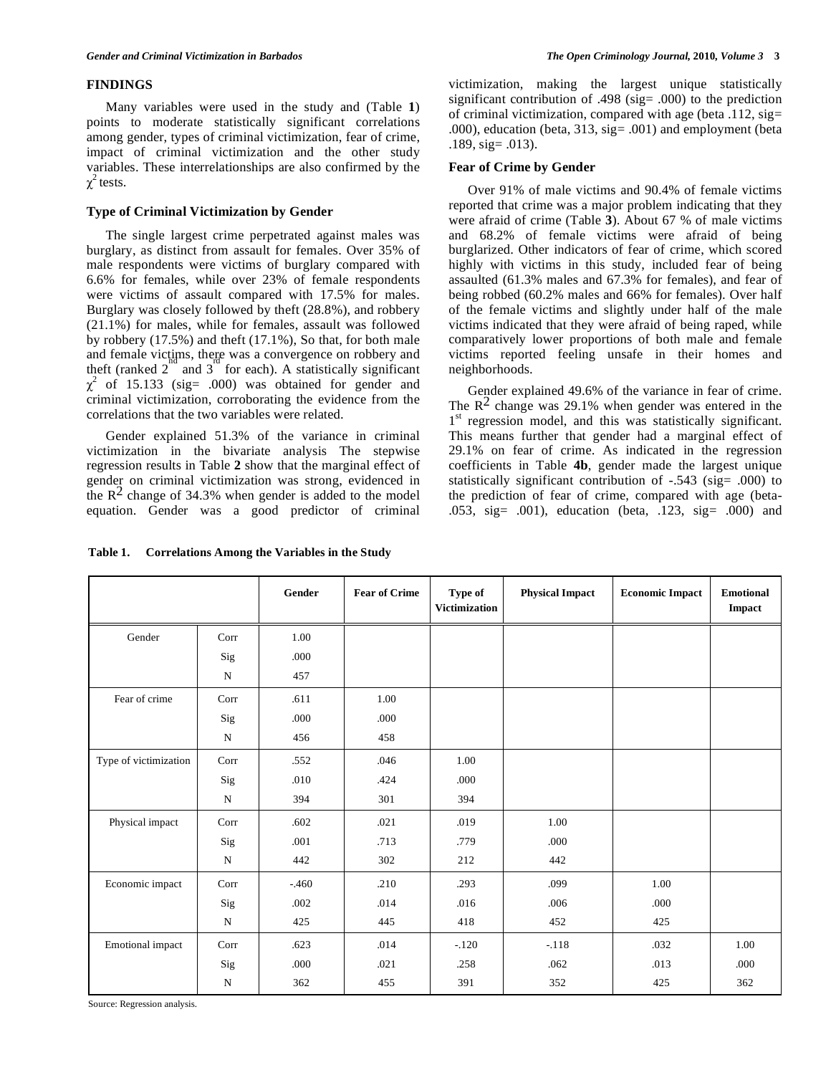# **FINDINGS**

 Many variables were used in the study and (Table **1**) points to moderate statistically significant correlations among gender, types of criminal victimization, fear of crime, impact of criminal victimization and the other study variables. These interrelationships are also confirmed by the  $\chi^2$  tests.

### **Type of Criminal Victimization by Gender**

The single largest crime perpetrated against males was burglary, as distinct from assault for females. Over 35% of male respondents were victims of burglary compared with 6.6% for females, while over 23% of female respondents were victims of assault compared with 17.5% for males. Burglary was closely followed by theft (28.8%), and robbery (21.1%) for males, while for females, assault was followed by robbery (17.5%) and theft (17.1%), So that, for both male and female victims, there was a convergence on robbery and theft (ranked  $2^{\circ}$  and  $3^{\circ}$  for each). A statistically significant  $\chi^2$  of 15.133 (sig= .000) was obtained for gender and criminal victimization, corroborating the evidence from the correlations that the two variables were related.

 Gender explained 51.3% of the variance in criminal victimization in the bivariate analysis The stepwise regression results in Table **2** show that the marginal effect of gender on criminal victimization was strong, evidenced in the  $\mathbb{R}^2$  change of 34.3% when gender is added to the model equation. Gender was a good predictor of criminal

# **Table 1. Correlations Among the Variables in the Study**

victimization, making the largest unique statistically significant contribution of .498 (sig= .000) to the prediction of criminal victimization, compared with age (beta  $.112$ , sig= .000), education (beta, 313, sig= .001) and employment (beta .189, sig= .013).

### **Fear of Crime by Gender**

Over 91% of male victims and 90.4% of female victims reported that crime was a major problem indicating that they were afraid of crime (Table **3**). About 67 % of male victims and 68.2% of female victims were afraid of being burglarized. Other indicators of fear of crime, which scored highly with victims in this study, included fear of being assaulted (61.3% males and 67.3% for females), and fear of being robbed (60.2% males and 66% for females). Over half of the female victims and slightly under half of the male victims indicated that they were afraid of being raped, while comparatively lower proportions of both male and female victims reported feeling unsafe in their homes and neighborhoods.

 Gender explained 49.6% of the variance in fear of crime. The  $R^2$  change was 29.1% when gender was entered in the 1<sup>st</sup> regression model, and this was statistically significant. This means further that gender had a marginal effect of 29.1% on fear of crime. As indicated in the regression coefficients in Table **4b**, gender made the largest unique statistically significant contribution of -.543 (sig= .000) to the prediction of fear of crime, compared with age (beta- .053, sig= .001), education (beta, .123, sig= .000) and

|                         |           | Gender | <b>Fear of Crime</b> | Type of<br><b>Victimization</b> | <b>Physical Impact</b> | <b>Economic Impact</b> | <b>Emotional</b><br>Impact |
|-------------------------|-----------|--------|----------------------|---------------------------------|------------------------|------------------------|----------------------------|
| Gender                  | Corr      | 1.00   |                      |                                 |                        |                        |                            |
|                         | Sig       | .000   |                      |                                 |                        |                        |                            |
|                         | N         | 457    |                      |                                 |                        |                        |                            |
| Fear of crime           | Corr      | .611   | 1.00                 |                                 |                        |                        |                            |
|                         | Sig       | .000   | .000                 |                                 |                        |                        |                            |
|                         | ${\bf N}$ | 456    | 458                  |                                 |                        |                        |                            |
| Type of victimization   | Corr      | .552   | .046                 | 1.00                            |                        |                        |                            |
|                         | Sig       | .010   | .424                 | .000                            |                        |                        |                            |
|                         | ${\rm N}$ | 394    | 301                  | 394                             |                        |                        |                            |
| Physical impact         | Corr      | .602   | .021                 | .019                            | 1.00                   |                        |                            |
|                         | Sig       | .001   | .713                 | .779                            | .000                   |                        |                            |
|                         | ${\bf N}$ | 442    | 302                  | 212                             | 442                    |                        |                            |
| Economic impact         | Corr      | $-460$ | .210                 | .293                            | .099                   | 1.00                   |                            |
|                         | Sig       | .002   | .014                 | .016                            | .006                   | .000                   |                            |
|                         | ${\rm N}$ | 425    | 445                  | 418                             | 452                    | 425                    |                            |
| <b>Emotional</b> impact | Corr      | .623   | .014                 | $-.120$                         | $-.118$                | .032                   | 1.00                       |
|                         | Sig       | .000   | .021                 | .258                            | .062                   | .013                   | .000                       |
|                         | ${\bf N}$ | 362    | 455                  | 391                             | 352                    | 425                    | 362                        |

Source: Regression analysis.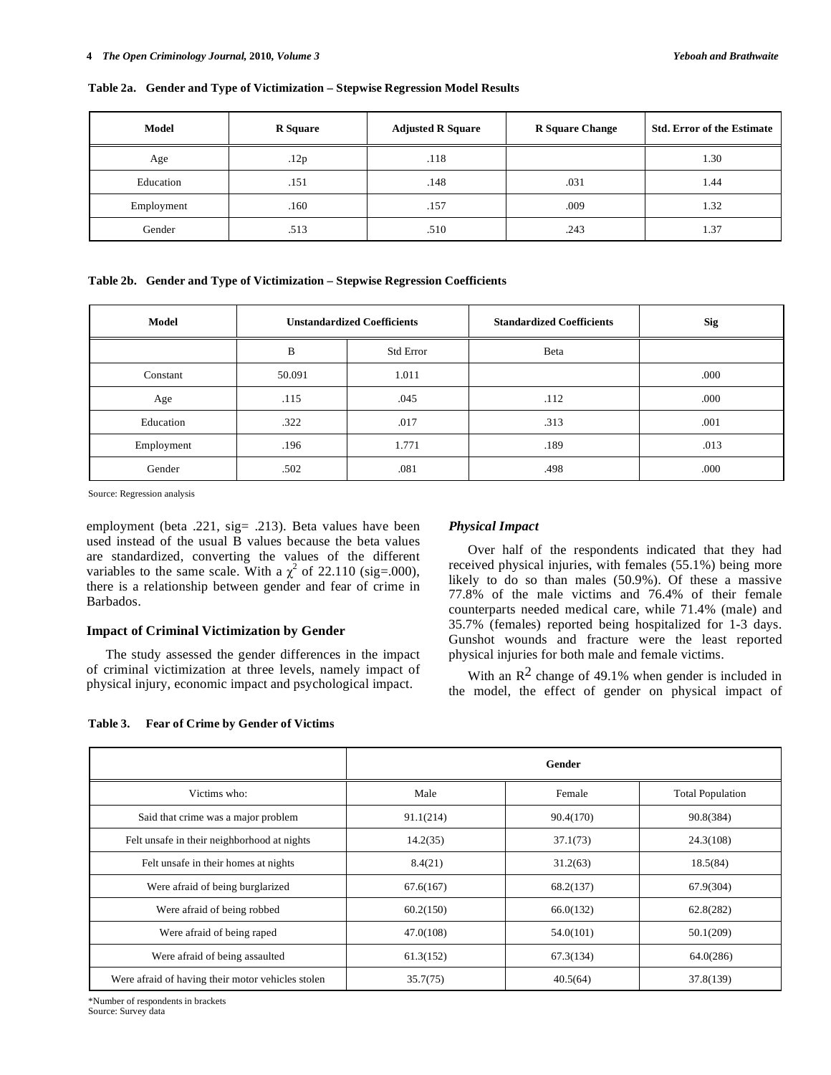#### **Table 2a. Gender and Type of Victimization – Stepwise Regression Model Results**

| Model      | <b>R</b> Square | <b>Adjusted R Square</b> | <b>R</b> Square Change | <b>Std. Error of the Estimate</b> |
|------------|-----------------|--------------------------|------------------------|-----------------------------------|
| Age        | .12p            | .118                     |                        | 1.30                              |
| Education  | .151            | .148                     | .031                   | 1.44                              |
| Employment | .160            | .157                     | .009                   | 1.32                              |
| Gender     | .513            | .510                     | .243                   | $\overline{.}37$                  |

**Table 2b. Gender and Type of Victimization – Stepwise Regression Coefficients** 

| Model      | <b>Unstandardized Coefficients</b> |                  | <b>Standardized Coefficients</b> | <b>Sig</b> |
|------------|------------------------------------|------------------|----------------------------------|------------|
|            | B                                  | <b>Std Error</b> | Beta                             |            |
| Constant   | 50.091                             | 1.011            |                                  | .000       |
| Age        | .115                               | .045             | .112                             | .000       |
| Education  | .322                               | .017             | .313                             | .001       |
| Employment | .196                               | 1.771            | .189                             | .013       |
| Gender     | .502                               | .081             | .498                             | .000       |

Source: Regression analysis

employment (beta .221, sig= .213). Beta values have been used instead of the usual B values because the beta values are standardized, converting the values of the different variables to the same scale. With a  $\chi^2$  of 22.110 (sig=.000), there is a relationship between gender and fear of crime in Barbados.

### **Impact of Criminal Victimization by Gender**

 The study assessed the gender differences in the impact of criminal victimization at three levels, namely impact of physical injury, economic impact and psychological impact.

# *Physical Impact*

 Over half of the respondents indicated that they had received physical injuries, with females (55.1%) being more likely to do so than males (50.9%). Of these a massive 77.8% of the male victims and 76.4% of their female counterparts needed medical care, while 71.4% (male) and 35.7% (females) reported being hospitalized for 1-3 days. Gunshot wounds and fracture were the least reported physical injuries for both male and female victims.

With an  $\mathbb{R}^2$  change of 49.1% when gender is included in the model, the effect of gender on physical impact of

| Table 3. |  |  | <b>Fear of Crime by Gender of Victims</b> |  |
|----------|--|--|-------------------------------------------|--|
|----------|--|--|-------------------------------------------|--|

|                                                   |           | Gender    |                         |
|---------------------------------------------------|-----------|-----------|-------------------------|
| Victims who:                                      | Male      | Female    | <b>Total Population</b> |
| Said that crime was a major problem               | 91.1(214) | 90.4(170) | 90.8(384)               |
| Felt unsafe in their neighborhood at nights       | 14.2(35)  | 37.1(73)  | 24.3(108)               |
| Felt unsafe in their homes at nights              | 8.4(21)   | 31.2(63)  | 18.5(84)                |
| Were afraid of being burglarized                  | 67.6(167) | 68.2(137) | 67.9(304)               |
| Were afraid of being robbed                       | 60.2(150) | 66.0(132) | 62.8(282)               |
| Were afraid of being raped                        | 47.0(108) | 54.0(101) | 50.1(209)               |
| Were afraid of being assaulted                    | 61.3(152) | 67.3(134) | 64.0(286)               |
| Were afraid of having their motor vehicles stolen | 35.7(75)  | 40.5(64)  | 37.8(139)               |

\*Number of respondents in brackets Source: Survey data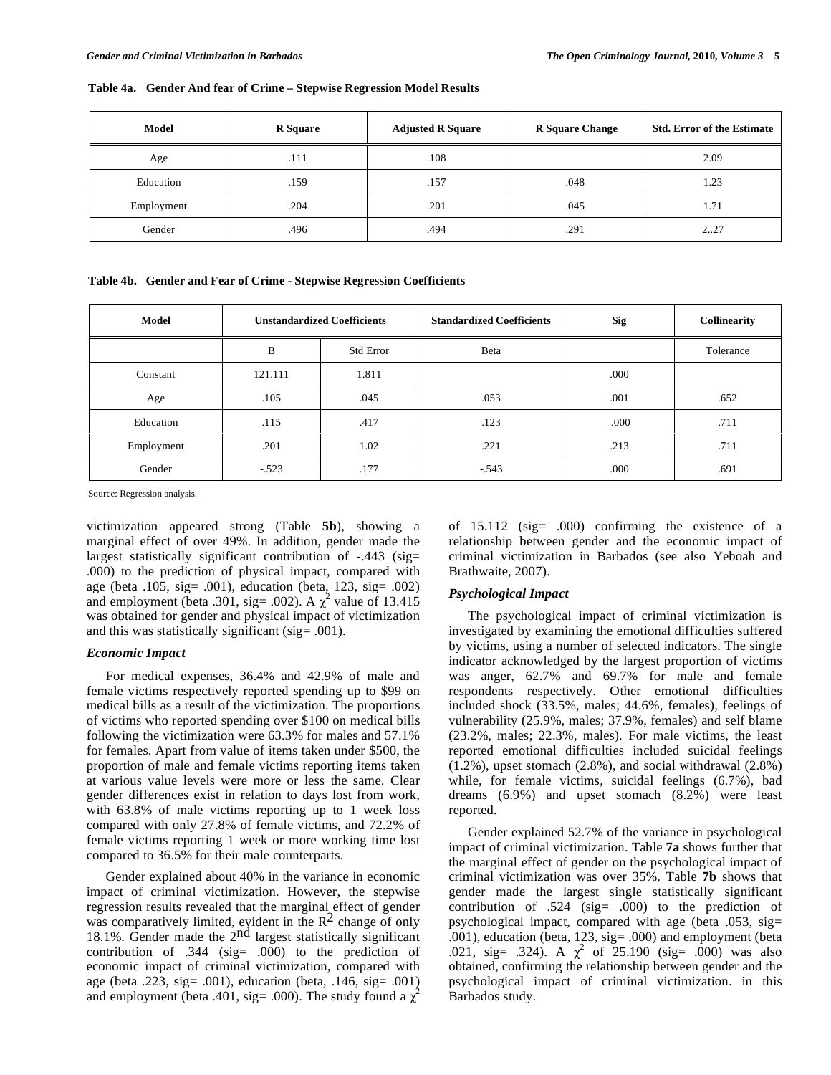|  |  |  |  |  |  | Table 4a. Gender And fear of Crime - Stepwise Regression Model Results |
|--|--|--|--|--|--|------------------------------------------------------------------------|
|--|--|--|--|--|--|------------------------------------------------------------------------|

| Model      | <b>R</b> Square | <b>Adjusted R Square</b> | <b>R</b> Square Change | <b>Std. Error of the Estimate</b> |
|------------|-----------------|--------------------------|------------------------|-----------------------------------|
| Age        | .111            | .108                     |                        | 2.09                              |
| Education  | .159            | .157                     | .048                   | 1.23                              |
| Employment | .204            | .201                     | .045                   | 1.71                              |
| Gender     | .496            | .494                     | .291                   | 227                               |

**Table 4b. Gender and Fear of Crime - Stepwise Regression Coefficients** 

| <b>Model</b> | <b>Unstandardized Coefficients</b> |                  | <b>Standardized Coefficients</b> | <b>Sig</b> | <b>Collinearity</b> |
|--------------|------------------------------------|------------------|----------------------------------|------------|---------------------|
|              | B                                  | <b>Std Error</b> | Beta                             |            | Tolerance           |
| Constant     | 121.111                            | 1.811            |                                  | .000       |                     |
| Age          | .105                               | .045             | .053                             | .001       | .652                |
| Education    | .115                               | .417             | .123                             | .000       | .711                |
| Employment   | .201                               | 1.02             | .221                             | .213       | .711                |
| Gender       | $-.523$                            | .177             | $-543$                           | .000       | .691                |

Source: Regression analysis.

victimization appeared strong (Table **5b**), showing a marginal effect of over 49%. In addition, gender made the largest statistically significant contribution of -.443 (sig= .000) to the prediction of physical impact, compared with age (beta .105, sig= .001), education (beta, 123, sig= .002) and employment (beta .301, sig= .002). A  $\chi^2$  value of 13.415 was obtained for gender and physical impact of victimization and this was statistically significant (sig= .001).

### *Economic Impact*

 For medical expenses, 36.4% and 42.9% of male and female victims respectively reported spending up to \$99 on medical bills as a result of the victimization. The proportions of victims who reported spending over \$100 on medical bills following the victimization were 63.3% for males and 57.1% for females. Apart from value of items taken under \$500, the proportion of male and female victims reporting items taken at various value levels were more or less the same. Clear gender differences exist in relation to days lost from work, with 63.8% of male victims reporting up to 1 week loss compared with only 27.8% of female victims, and 72.2% of female victims reporting 1 week or more working time lost compared to 36.5% for their male counterparts.

 Gender explained about 40% in the variance in economic impact of criminal victimization. However, the stepwise regression results revealed that the marginal effect of gender was comparatively limited, evident in the  $\mathbb{R}^2$  change of only 18.1%. Gender made the  $2<sup>nd</sup>$  largest statistically significant contribution of .344 (sig= .000) to the prediction of economic impact of criminal victimization, compared with age (beta .223, sig= .001), education (beta, .146, sig= .001) and employment (beta .401, sig= .000). The study found a  $\chi^2$ 

of 15.112 (sig= .000) confirming the existence of a relationship between gender and the economic impact of criminal victimization in Barbados (see also Yeboah and Brathwaite, 2007).

### *Psychological Impact*

The psychological impact of criminal victimization is investigated by examining the emotional difficulties suffered by victims, using a number of selected indicators. The single indicator acknowledged by the largest proportion of victims was anger, 62.7% and 69.7% for male and female respondents respectively. Other emotional difficulties included shock (33.5%, males; 44.6%, females), feelings of vulnerability (25.9%, males; 37.9%, females) and self blame (23.2%, males; 22.3%, males). For male victims, the least reported emotional difficulties included suicidal feelings (1.2%), upset stomach (2.8%), and social withdrawal (2.8%) while, for female victims, suicidal feelings (6.7%), bad dreams (6.9%) and upset stomach (8.2%) were least reported.

 Gender explained 52.7% of the variance in psychological impact of criminal victimization. Table **7a** shows further that the marginal effect of gender on the psychological impact of criminal victimization was over 35%. Table **7b** shows that gender made the largest single statistically significant contribution of .524 (sig= .000) to the prediction of psychological impact, compared with age (beta .053, sig= .001), education (beta, 123, sig= .000) and employment (beta .021, sig= .324). A  $\chi^2$  of 25.190 (sig= .000) was also obtained, confirming the relationship between gender and the psychological impact of criminal victimization. in this Barbados study.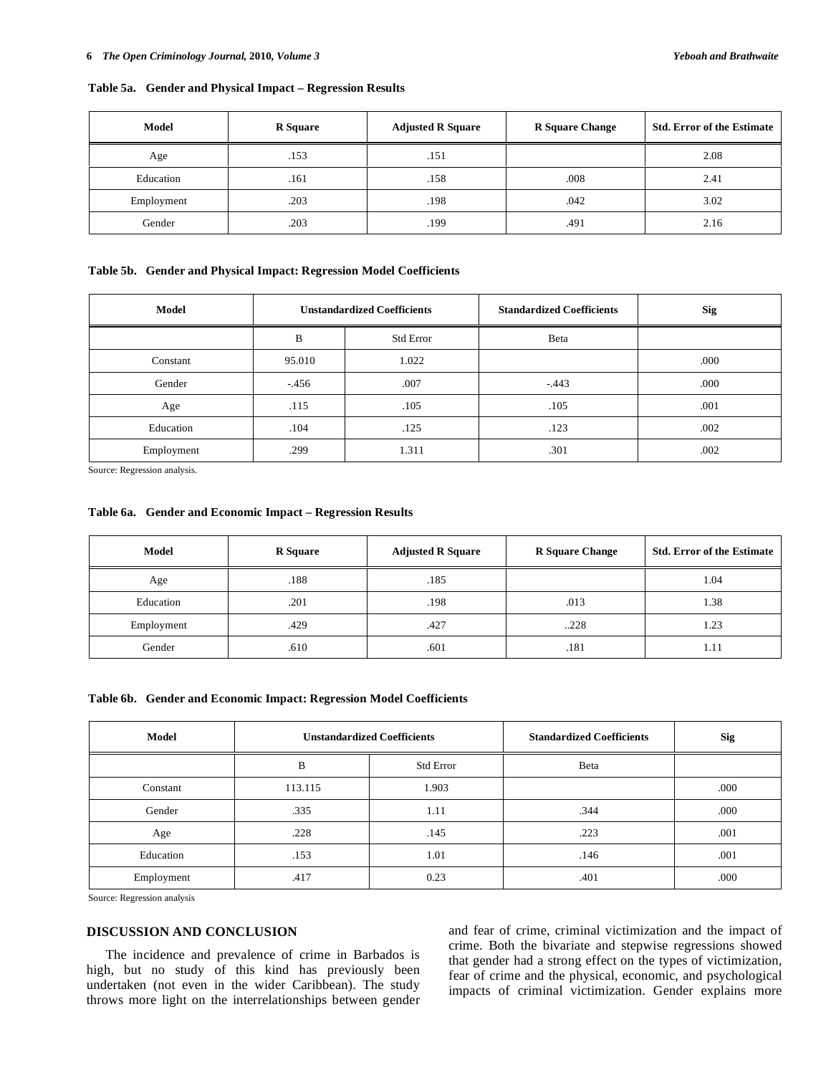### **Table 5a. Gender and Physical Impact – Regression Results**

| Model      | <b>R</b> Square | <b>Adjusted R Square</b> | <b>R</b> Square Change | <b>Std. Error of the Estimate</b> |
|------------|-----------------|--------------------------|------------------------|-----------------------------------|
| Age        | .153            | .151                     |                        | 2.08                              |
| Education  | .161            | .158                     | .008                   | 2.41                              |
| Employment | .203            | .198                     | .042                   | 3.02                              |
| Gender     | .203            | .199                     | .491                   | 2.16                              |

#### **Table 5b. Gender and Physical Impact: Regression Model Coefficients**

| Model      | <b>Unstandardized Coefficients</b> |                  | <b>Standardized Coefficients</b> | <b>Sig</b> |
|------------|------------------------------------|------------------|----------------------------------|------------|
|            | B                                  | <b>Std Error</b> | Beta                             |            |
| Constant   | 95.010                             | 1.022            |                                  | .000       |
| Gender     | $-.456$                            | .007             | $-443$                           | .000       |
| Age        | .115                               | .105             | .105                             | .001       |
| Education  | .104                               | .125             | .123                             | .002       |
| Employment | .299                               | 1.311            | .301                             | .002       |

Source: Regression analysis.

## **Table 6a. Gender and Economic Impact – Regression Results**

| Model      | <b>R</b> Square | <b>Adjusted R Square</b> | <b>R</b> Square Change | <b>Std. Error of the Estimate</b> |
|------------|-----------------|--------------------------|------------------------|-----------------------------------|
| Age        | .188            | .185                     |                        | 1.04                              |
| Education  | .201            | .198                     | .013                   | 1.38                              |
| Employment | .429            | .427                     | .228                   | 1.23                              |
| Gender     | .610            | .601                     | .181                   | 1.11                              |

#### **Table 6b. Gender and Economic Impact: Regression Model Coefficients**

| Model      |         | <b>Unstandardized Coefficients</b> | <b>Standardized Coefficients</b> | <b>Sig</b> |
|------------|---------|------------------------------------|----------------------------------|------------|
|            | B       | <b>Std Error</b>                   | Beta                             |            |
| Constant   | 113.115 | 1.903                              |                                  | .000       |
| Gender     | .335    | 1.11                               | .344                             | .000       |
| Age        | .228    | .145                               | .223                             | .001       |
| Education  | .153    | 1.01                               | .146                             | .001       |
| Employment | .417    | 0.23                               | .401                             | .000       |

Source: Regression analysis

# **DISCUSSION AND CONCLUSION**

The incidence and prevalence of crime in Barbados is high, but no study of this kind has previously been undertaken (not even in the wider Caribbean). The study throws more light on the interrelationships between gender and fear of crime, criminal victimization and the impact of crime. Both the bivariate and stepwise regressions showed that gender had a strong effect on the types of victimization, fear of crime and the physical, economic, and psychological impacts of criminal victimization. Gender explains more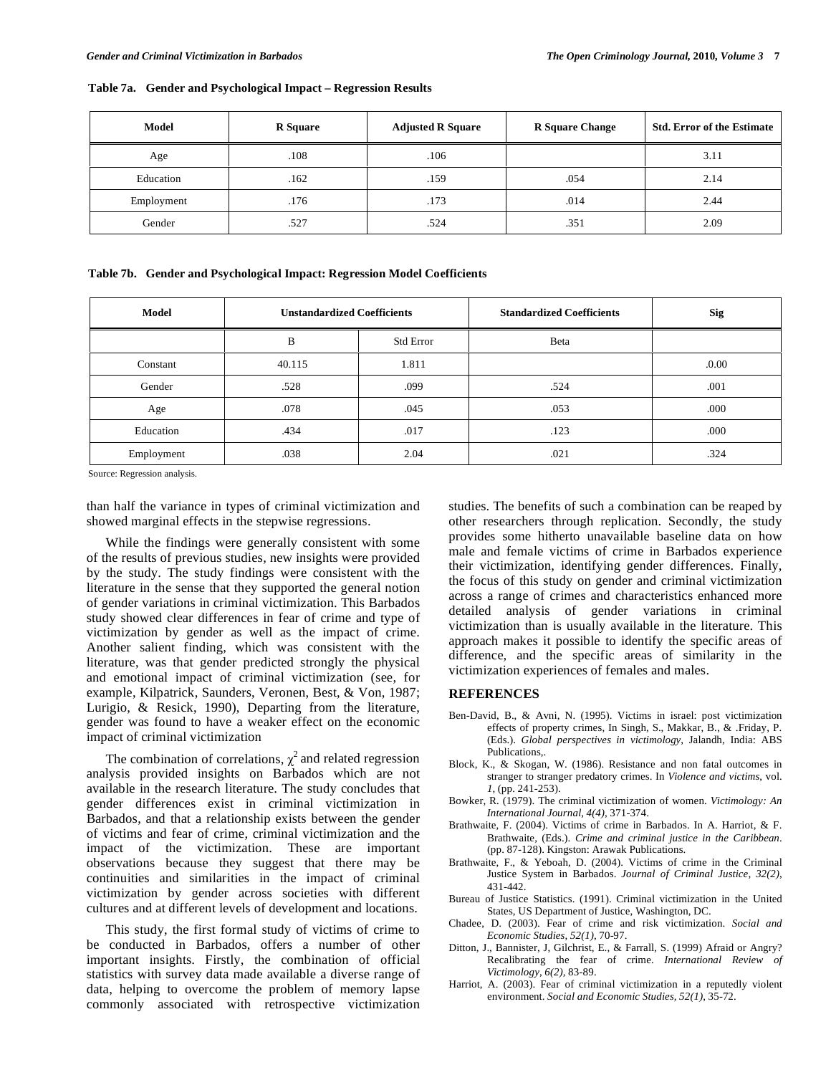|  | Table 7a. Gender and Psychological Impact - Regression Results |  |
|--|----------------------------------------------------------------|--|
|  |                                                                |  |

| Model      | <b>R</b> Square | <b>Adjusted R Square</b> | <b>R</b> Square Change | <b>Std. Error of the Estimate</b> |
|------------|-----------------|--------------------------|------------------------|-----------------------------------|
| Age        | .108            | .106                     |                        | 3.11                              |
| Education  | .162            | .159                     | .054                   | 2.14                              |
| Employment | .176            | .173                     | .014                   | 2.44                              |
| Gender     | .527            | .524                     | .351                   | 2.09                              |

**Table 7b. Gender and Psychological Impact: Regression Model Coefficients** 

| Model      | <b>Unstandardized Coefficients</b> |           | <b>Standardized Coefficients</b> | <b>Sig</b> |
|------------|------------------------------------|-----------|----------------------------------|------------|
|            | B                                  | Std Error | Beta                             |            |
| Constant   | 40.115                             | 1.811     |                                  | 0.00       |
| Gender     | .528                               | .099      | .524                             | .001       |
| Age        | .078                               | .045      | .053                             | .000       |
| Education  | .434                               | .017      | .123                             | .000       |
| Employment | .038                               | 2.04      | .021                             | .324       |

Source: Regression analysis.

than half the variance in types of criminal victimization and showed marginal effects in the stepwise regressions.

 While the findings were generally consistent with some of the results of previous studies, new insights were provided by the study. The study findings were consistent with the literature in the sense that they supported the general notion of gender variations in criminal victimization. This Barbados study showed clear differences in fear of crime and type of victimization by gender as well as the impact of crime. Another salient finding, which was consistent with the literature, was that gender predicted strongly the physical and emotional impact of criminal victimization (see, for example, Kilpatrick, Saunders, Veronen, Best, & Von, 1987; Lurigio, & Resick, 1990), Departing from the literature, gender was found to have a weaker effect on the economic impact of criminal victimization

The combination of correlations,  $\chi^2$  and related regression analysis provided insights on Barbados which are not available in the research literature. The study concludes that gender differences exist in criminal victimization in Barbados, and that a relationship exists between the gender of victims and fear of crime, criminal victimization and the impact of the victimization. These are important observations because they suggest that there may be continuities and similarities in the impact of criminal victimization by gender across societies with different cultures and at different levels of development and locations.

 This study, the first formal study of victims of crime to be conducted in Barbados, offers a number of other important insights. Firstly, the combination of official statistics with survey data made available a diverse range of data, helping to overcome the problem of memory lapse commonly associated with retrospective victimization

studies. The benefits of such a combination can be reaped by other researchers through replication. Secondly, the study provides some hitherto unavailable baseline data on how male and female victims of crime in Barbados experience their victimization, identifying gender differences. Finally, the focus of this study on gender and criminal victimization across a range of crimes and characteristics enhanced more detailed analysis of gender variations in criminal victimization than is usually available in the literature. This approach makes it possible to identify the specific areas of difference, and the specific areas of similarity in the victimization experiences of females and males.

### **REFERENCES**

- Ben-David, B., & Avni, N. (1995). Victims in israel: post victimization effects of property crimes, In Singh, S., Makkar, B., & .Friday, P. (Eds.). *Global perspectives in victimology*, Jalandh, India: ABS Publications,.
- Block, K., & Skogan, W. (1986). Resistance and non fatal outcomes in stranger to stranger predatory crimes. In *Violence and victims*, vol. *1*, (pp. 241-253).
- Bowker, R. (1979). The criminal victimization of women. *Victimology: An International Journal*, *4(4)*, 371-374.
- Brathwaite, F. (2004). Victims of crime in Barbados. In A. Harriot, & F. Brathwaite, (Eds.). *Crime and criminal justice in the Caribbean*. (pp. 87-128). Kingston: Arawak Publications.
- Brathwaite, F., & Yeboah, D. (2004). Victims of crime in the Criminal Justice System in Barbados. *Journal of Criminal Justice*, *32(2)*, 431-442.
- Bureau of Justice Statistics. (1991). Criminal victimization in the United States, US Department of Justice, Washington, DC.
- Chadee, D. (2003). Fear of crime and risk victimization. *Social and Economic Studies*, *52(1)*, 70-97.
- Ditton, J., Bannister, J, Gilchrist, E., & Farrall, S. (1999) Afraid or Angry? Recalibrating the fear of crime. *International Review of Victimology*, *6(2),* 83-89.
- Harriot, A. (2003). Fear of criminal victimization in a reputedly violent environment. *Social and Economic Studies, 52(1)*, 35-72.